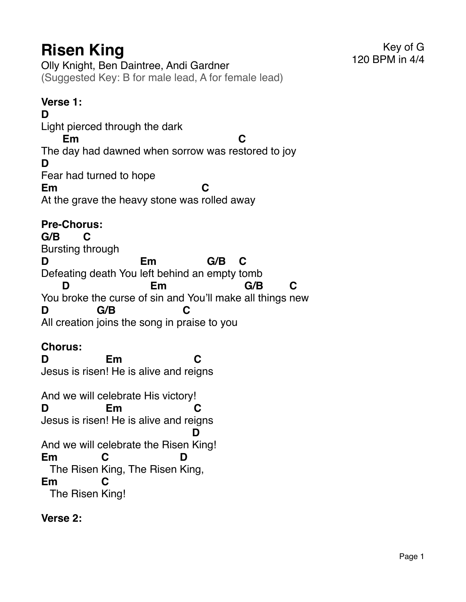Olly Knight, Ben Daintree, Andi Gardner (Suggested Key: B for male lead, A for female lead)

# **Verse 1:**

**D** Light pierced through the dark The day had dawned when sorrow was re stored to joy **Em C D** Fear had turned to hope **Em** At the grave the heavy stone was rolled away **C**

# **Pre-Chorus:**

**G/B** Bursting through **C D** Defeating death You left behind an empty tomb **Em G/B C** You broke the curse of sin and You'll make all things new **D Em G/B C D** All creation joins the song in p raise to you **G/B C**

# **Chorus:**

**D** Jesus is risen ! He is alive and re igns **Em C** And we will celebrate His victory! **D** Jesus is risen ! He is alive and re igns **Em C** And we will celebrate the Risen King! **D Em** The Risen King, The Risen King, **C D Em** The Risen King! **C**

**Verse 2:**